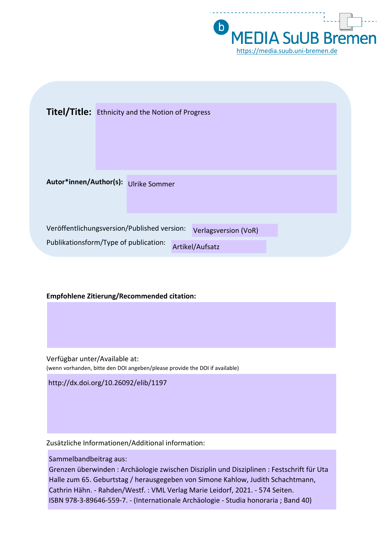

| <b>Titel/Title:</b> Ethnicity and the Notion of Progress                                                                               |  |
|----------------------------------------------------------------------------------------------------------------------------------------|--|
| Autor*innen/Author(s): Ulrike Sommer                                                                                                   |  |
| Veröffentlichungsversion/Published version:<br><b>Verlagsversion (VoR)</b><br>Publikationsform/Type of publication:<br>Artikel/Aufsatz |  |

#### **Empfohlene Zitierung/Recommended citation:**

Verfügbar unter/Available at: (wenn vorhanden, bitte den DOI angeben/please provide the DOI if available)

http://dx.doi.org/10.26092/elib/1197

Zusätzliche Informationen/Additional information:

Sammelbandbeitrag aus:

Grenzen überwinden : Archäologie zwischen Disziplin und Disziplinen : Festschrift für Uta Halle zum 65. Geburtstag / herausgegeben von Simone Kahlow, Judith Schachtmann, Cathrin Hähn. - Rahden/Westf. : VML Verlag Marie Leidorf, 2021. - 574 Seiten. ISBN 978-3-89646-559-7. - (Internationale Archäologie - Studia honoraria ; Band 40)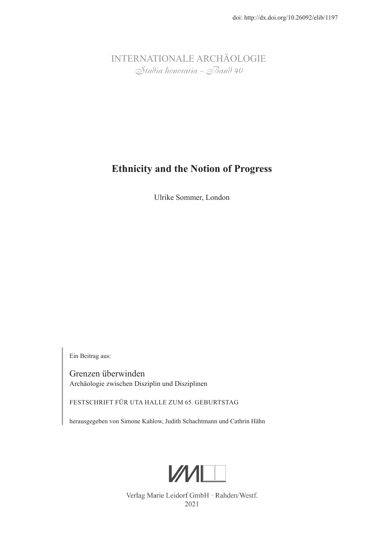INTERNATIONALE ARCHÄOLOGIE Studia honoraria – Band 40

# **Ethnicity and the Notion of Progress**

Ulrike Sommer, London

Ein Beitrag aus:

Grenzen überwinden Archäologie zwischen Disziplin und Disziplinen

FESTSCHRIFT FÜR UTA HALLE ZUM 65. GEBURTSTAG

herausgegeben von Simone Kahlow, Judith Schachtmann und Cathrin Hähn



Verlag Marie Leidorf GmbH · Rahden/Westf. 2021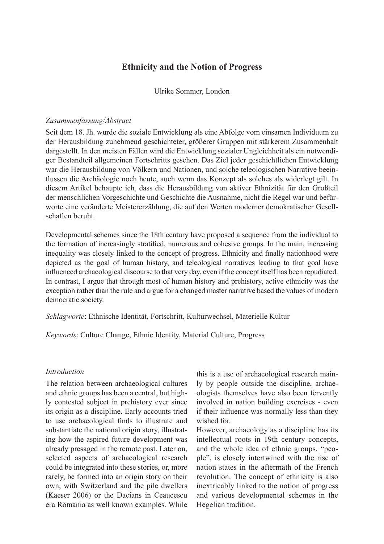### **Ethnicity and the Notion of Progress**

Ulrike Sommer, London

#### *Zusammenfassung/Abstract*

Seit dem 18. Jh. wurde die soziale Entwicklung als eine Abfolge vom einsamen Individuum zu der Herausbildung zunehmend geschichteter, größerer Gruppen mit stärkerem Zusammenhalt dargestellt. In den meisten Fällen wird die Entwicklung sozialer Ungleichheit als ein notwendiger Bestandteil allgemeinen Fortschritts gesehen. Das Ziel jeder geschichtlichen Entwicklung war die Herausbildung von Völkern und Nationen, und solche teleologischen Narrative beeinflussen die Archäologie noch heute, auch wenn das Konzept als solches als widerlegt gilt. In diesem Artikel behaupte ich, dass die Herausbildung von aktiver Ethnizität für den Großteil der menschlichen Vorgeschichte und Geschichte die Ausnahme, nicht die Regel war und befürworte eine veränderte Meistererzählung, die auf den Werten moderner demokratischer Gesellschaften beruht.

Developmental schemes since the 18th century have proposed a sequence from the individual to the formation of increasingly stratified, numerous and cohesive groups. In the main, increasing inequality was closely linked to the concept of progress. Ethnicity and finally nationhood were depicted as the goal of human history, and teleological narratives leading to that goal have influenced archaeological discourse to that very day, even if the concept itself has been repudiated. In contrast, I argue that through most of human history and prehistory, active ethnicity was the exception rather than the rule and argue for a changed master narrative based the values of modern democratic society.

*Schlagworte*: Ethnische Identität, Fortschritt, Kulturwechsel, Materielle Kultur

*Keywords*: Culture Change, Ethnic Identity, Material Culture, Progress

#### *Introduction*

The relation between archaeological cultures and ethnic groups has been a central, but highly contested subject in prehistory ever since its origin as a discipline. Early accounts tried to use archaeological finds to illustrate and substantiate the national origin story, illustrating how the aspired future development was already presaged in the remote past. Later on, selected aspects of archaeological research could be integrated into these stories, or, more rarely, be formed into an origin story on their own, with Switzerland and the pile dwellers (Kaeser 2006) or the Dacians in Ceaucescu era Romania as well known examples. While this is a use of archaeological research mainly by people outside the discipline, archaeologists themselves have also been fervently involved in nation building exercises - even if their influence was normally less than they wished for.

However, archaeology as a discipline has its intellectual roots in 19th century concepts, and the whole idea of ethnic groups, "people", is closely intertwined with the rise of nation states in the aftermath of the French revolution. The concept of ethnicity is also inextricably linked to the notion of progress and various developmental schemes in the Hegelian tradition.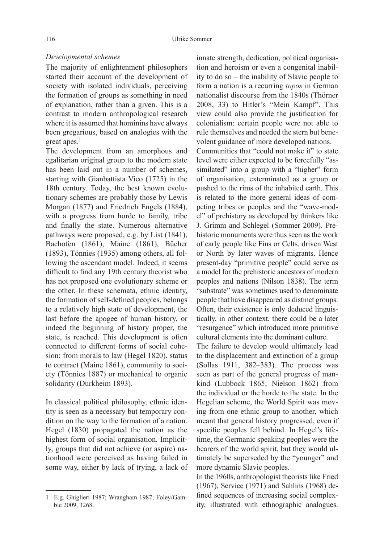#### *Developmental schemes*

The majority of enlightenment philosophers started their account of the development of society with isolated individuals, perceiving the formation of groups as something in need of explanation, rather than a given. This is a contrast to modern anthropological research where it is assumed that hominins have always been gregarious, based on analogies with the great apes. $1$ 

The development from an amorphous and egalitarian original group to the modern state has been laid out in a number of schemes, starting with Gianbattista Vico (1725) in the 18th century. Today, the best known evolutionary schemes are probably those by Lewis Morgan (1877) and Friedrich Engels (1884), with a progress from horde to family, tribe and finally the state. Numerous alternative pathways were proposed, e.g. by List (1841), Bachofen (1861), Maine (1861), Bücher (1893), Tönnies (1935) among others, all following the ascendant model. Indeed, it seems difficult to find any 19th century theorist who has not proposed one evolutionary scheme or the other. In these schemata, ethnic identity, the formation of self-defined peoples, belongs to a relatively high state of development, the last before the apogee of human history, or indeed the beginning of history proper, the state, is reached. This development is often connected to different forms of social cohesion: from morals to law (Hegel 1820), status to contract (Maine 1861), community to society (Tönnies 1887) or mechanical to organic solidarity (Durkheim 1893).

In classical political philosophy, ethnic identity is seen as a necessary but temporary condition on the way to the formation of a nation. Hegel (1830) propagated the nation as the highest form of social organisation. Implicitly, groups that did not achieve (or aspire) nationhood were perceived as having failed in some way, either by lack of trying, a lack of

innate strength, dedication, political organisation and heroism or even a congenital inability to do so – the inability of Slavic people to form a nation is a recurring *topos* in German nationalist discourse from the 1840s (Thörner 2008, 33) to Hitler's "Mein Kampf". This view could also provide the justification for colonialism: certain people were not able to rule themselves and needed the stern but benevolent guidance of more developed nations.

Communities that "could not make it" to state level were either expected to be forcefully "assimilated" into a group with a "higher" form of organisation, exterminated as a group or pushed to the rims of the inhabited earth. This is related to the more general ideas of competing tribes or peoples and the "wave-model" of prehistory as developed by thinkers like J. Grimm and Schlegel (Sommer 2009). Prehistoric monuments were thus seen as the work of early people like Fins or Celts, driven West or North by later waves of migrants. Hence present-day "primitive people" could serve as a model for the prehistoric ancestors of modern peoples and nations (Nilson 1838). The term "substrate" was sometimes used to denominate people that have disappeared as distinct groups. Often, their existence is only deduced linguistically, in other context, there could be a later "resurgence" which introduced more primitive cultural elements into the dominant culture.

The failure to develop would ultimately lead to the displacement and extinction of a group (Sollas 1911, 382–383). The process was seen as part of the general progress of mankind (Lubbock 1865; Nielson 1862) from the individual or the horde to the state. In the Hegelian scheme, the World Spirit was moving from one ethnic group to another, which meant that general history progressed, even if specific peoples fell behind. In Hegel's lifetime, the Germanic speaking peoples were the bearers of the world spirit, but they would ultimately be superseded by the "younger" and more dynamic Slavic peoples.

In the 1960s, anthropologist theorists like Fried (1967), Service (1971) and Sahlins (1968) defined sequences of increasing social complexity, illustrated with ethnographic analogues.

<sup>1</sup> E.g. Ghiglieri 1987; Wrangham 1987; Foley/Gamble 2009, 3268.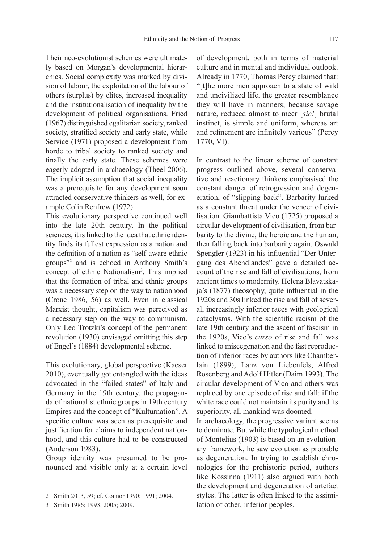Their neo-evolutionist schemes were ultimately based on Morgan's developmental hierarchies. Social complexity was marked by division of labour, the exploitation of the labour of others (surplus) by elites, increased inequality and the institutionalisation of inequality by the development of political organisations. Fried (1967) distinguished egalitarian society, ranked society, stratified society and early state, while Service (1971) proposed a development from horde to tribal society to ranked society and finally the early state. These schemes were eagerly adopted in archaeology (Theel 2006). The implicit assumption that social inequality was a prerequisite for any development soon attracted conservative thinkers as well, for example Colin Renfrew (1972).

This evolutionary perspective continued well into the late 20th century. In the political sciences, it is linked to the idea that ethnic identity finds its fullest expression as a nation and the definition of a nation as "self-aware ethnic groups"2 and is echoed in Anthony Smith's concept of ethnic Nationalism<sup>3</sup>. This implied that the formation of tribal and ethnic groups was a necessary step on the way to nationhood (Crone 1986, 56) as well. Even in classical Marxist thought, capitalism was perceived as a necessary step on the way to communism. Only Leo Trotzki's concept of the permanent revolution (1930) envisaged omitting this step of Engel's (1884) developmental scheme.

This evolutionary, global perspective (Kaeser 2010), eventually got entangled with the ideas advocated in the "failed states" of Italy and Germany in the 19th century, the propaganda of nationalist ethnic groups in 19th century Empires and the concept of "Kulturnation". A specific culture was seen as prerequisite and justification for claims to independent nationhood, and this culture had to be constructed (Anderson 1983).

Group identity was presumed to be pronounced and visible only at a certain level of development, both in terms of material culture and in mental and individual outlook. Already in 1770, Thomas Percy claimed that: "[t]he more men approach to a state of wild and uncivilized life, the greater resemblance they will have in manners; because savage nature, reduced almost to meer [*sic!*] brutal instinct, is simple and uniform, whereas art and refinement are infinitely various" (Percy 1770, VI).

In contrast to the linear scheme of constant progress outlined above, several conservative and reactionary thinkers emphasised the constant danger of retrogression and degeneration, of "slipping back". Barbarity lurked as a constant threat under the veneer of civilisation. Giambattista Vico (1725) proposed a circular development of civilisation, from barbarity to the divine, the heroic and the human, then falling back into barbarity again. Oswald Spengler (1923) in his influential "Der Untergang des Abendlandes" gave a detailed account of the rise and fall of civilisations, from ancient times to modernity. Helena Blavatskaja's  $(1877)$  theosophy, quite influential in the 1920s and 30s linked the rise and fall of several, increasingly inferior races with geological cataclysms. With the scientific racism of the late 19th century and the ascent of fascism in the 1920s, Vico's *curso* of rise and fall was linked to miscegenation and the fast reproduction of inferior races by authors like Chamberlain (1899), Lanz von Liebenfels, Alfred Rosenberg and Adolf Hitler (Daim 1993). The circular development of Vico and others was replaced by one episode of rise and fall: if the white race could not maintain its purity and its superiority, all mankind was doomed.

In archaeology, the progressive variant seems to dominate. But while the typological method of Montelius (1903) is based on an evolutionary framework, he saw evolution as probable as degeneration. In trying to establish chronologies for the prehistoric period, authors like Kossinna (1911) also argued with both the development and degeneration of artefact styles. The latter is often linked to the assimilation of other, inferior peoples.

<sup>2</sup> Smith 2013, 59; cf. Connor 1990; 1991; 2004.

<sup>3</sup> Smith 1986; 1993; 2005; 2009.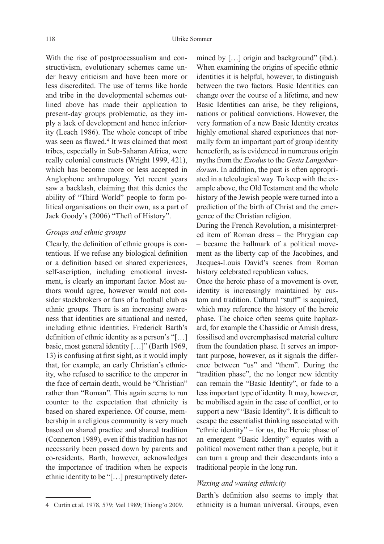With the rise of postprocessualism and constructivism, evolutionary schemes came under heavy criticism and have been more or less discredited. The use of terms like horde and tribe in the developmental schemes outlined above has made their application to present-day groups problematic, as they imply a lack of development and hence inferiority (Leach 1986). The whole concept of tribe was seen as flawed.<sup>4</sup> It was claimed that most tribes, especially in Sub-Saharan Africa, were really colonial constructs (Wright 1999, 421), which has become more or less accepted in Anglophone anthropology. Yet recent years saw a backlash, claiming that this denies the ability of "Third World" people to form political organisations on their own, as a part of Jack Goody's (2006) "Theft of History".

#### *Groups and ethnic groups*

Clearly, the definition of ethnic groups is contentious. If we refuse any biological definition or a definition based on shared experiences, self-ascription, including emotional investment, is clearly an important factor. Most authors would agree, however would not consider stockbrokers or fans of a football club as ethnic groups. There is an increasing awareness that identities are situational and nested, including ethnic identities. Frederick Barth's definition of ethnic identity as a person's "[ $\dots$ ] basic, most general identity [...]" (Barth 1969, 13) is confusing at first sight, as it would imply that, for example, an early Christian's ethnicity, who refused to sacrifice to the emperor in the face of certain death, would be "Christian" rather than "Roman". This again seems to run counter to the expectation that ethnicity is based on shared experience. Of course, membership in a religious community is very much based on shared practice and shared tradition (Connerton 1989), even if this tradition has not necessarily been passed down by parents and co-residents. Barth, however, acknowledges the importance of tradition when he expects ethnic identity to be "[…] presumptively deter-

mined by [...] origin and background" (ibd.). When examining the origins of specific ethnic identities it is helpful, however, to distinguish between the two factors. Basic Identities can change over the course of a lifetime, and new Basic Identities can arise, be they religions, nations or political convictions. However, the very formation of a new Basic Identity creates highly emotional shared experiences that normally form an important part of group identity henceforth, as is evidenced in numerous origin myths from the *Exodus* to the *Gesta Langobardorum*. In addition, the past is often appropriated in a teleological way. To keep with the example above, the Old Testament and the whole history of the Jewish people were turned into a prediction of the birth of Christ and the emergence of the Christian religion.

During the French Revolution, a misinterpreted item of Roman dress – the Phrygian cap – became the hallmark of a political movement as the liberty cap of the Jacobines, and Jacques-Louis David's scenes from Roman history celebrated republican values.

Once the heroic phase of a movement is over, identity is increasingly maintained by custom and tradition. Cultural "stuff" is acquired, which may reference the history of the heroic phase. The choice often seems quite haphazard, for example the Chassidic or Amish dress, fossilised and overemphasised material culture from the foundation phase. It serves an important purpose, however, as it signals the difference between "us" and "them". During the "tradition phase", the no longer new identity can remain the "Basic Identity", or fade to a less important type of identity. It may, however, be mobilised again in the case of conflict, or to support a new "Basic Identity". It is difficult to escape the essentialist thinking associated with "ethnic identity" – for us, the Heroic phase of an emergent "Basic Identity" equates with a political movement rather than a people, but it can turn a group and their descendants into a traditional people in the long run.

#### *Waxing and waning ethnicity*

Barth's definition also seems to imply that ethnicity is a human universal. Groups, even

<sup>4</sup> Curtin et al. 1978, 579; Vail 1989; Thiong'o 2009.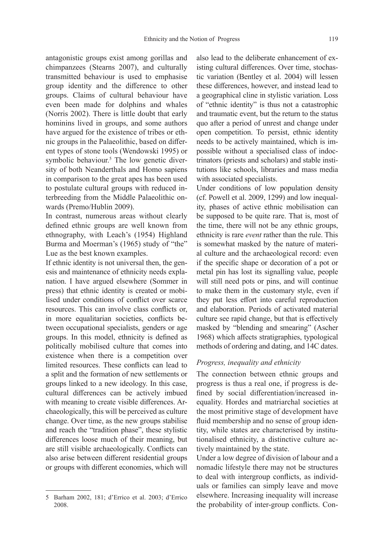antagonistic groups exist among gorillas and chimpanzees (Stearns 2007), and culturally transmitted behaviour is used to emphasise group identity and the difference to other groups. Claims of cultural behaviour have even been made for dolphins and whales (Norris 2002). There is little doubt that early hominins lived in groups, and some authors have argued for the existence of tribes or ethnic groups in the Palaeolithic, based on different types of stone tools (Wendowski 1995) or symbolic behaviour.<sup>5</sup> The low genetic diversity of both Neanderthals and Homo sapiens in comparison to the great apes has been used to postulate cultural groups with reduced interbreeding from the Middle Palaeolithic onwards (Premo/Hublin 2009).

In contrast, numerous areas without clearly defined ethnic groups are well known from ethnography, with Leach's (1954) Highland Burma and Moerman's (1965) study of "the" Lue as the best known examples.

If ethnic identity is not universal then, the genesis and maintenance of ethnicity needs explanation. I have argued elsewhere (Sommer in press) that ethnic identity is created or mobilised under conditions of conflict over scarce resources. This can involve class conflicts or, in more equalitarian societies, conflicts between occupational specialists, genders or age groups. In this model, ethnicity is defined as politically mobilised culture that comes into existence when there is a competition over limited resources. These conflicts can lead to a split and the formation of new settlements or groups linked to a new ideology. In this case, cultural differences can be actively imbued with meaning to create visible differences. Archaeologically, this will be perceived as culture change. Over time, as the new groups stabilise and reach the "tradition phase", these stylistic differences loose much of their meaning, but are still visible archaeologically. Conflicts can also arise between different residential groups or groups with different economies, which will

also lead to the deliberate enhancement of existing cultural differences. Over time, stochastic variation (Bentley et al. 2004) will lessen these differences, however, and instead lead to a geographical cline in stylistic variation. Loss of "ethnic identity" is thus not a catastrophic and traumatic event, but the return to the status quo after a period of unrest and change under open competition. To persist, ethnic identity needs to be actively maintained, which is impossible without a specialised class of indoctrinators (priests and scholars) and stable institutions like schools, libraries and mass media with associated specialists.

Under conditions of low population density (cf. Powell et al. 2009, 1299) and low inequality, phases of active ethnic mobilisation can be supposed to be quite rare. That is, most of the time, there will not be any ethnic groups, ethnicity is rare *event* rather than the rule. This is somewhat masked by the nature of material culture and the archaeological record: even if the specific shape or decoration of a pot or metal pin has lost its signalling value, people will still need pots or pins, and will continue to make them in the customary style, even if they put less effort into careful reproduction and elaboration. Periods of activated material culture see rapid change, but that is effectively masked by "blending and smearing" (Ascher 1968) which affects stratigraphies, typological methods of ordering and dating, and 14C dates.

#### *Progress, inequality and ethnicity*

The connection between ethnic groups and progress is thus a real one, if progress is defined by social differentiation/increased inequality. Hordes and matriarchal societies at the most primitive stage of development have fluid membership and no sense of group identity, while states are characterised by institutionalised ethnicity, a distinctive culture actively maintained by the state.

Under a low degree of division of labour and a nomadic lifestyle there may not be structures to deal with intergroup conflicts, as individuals or families can simply leave and move elsewhere. Increasing inequality will increase the probability of inter-group conflicts. Con-

<sup>5</sup> Barham 2002, 181; d'Errico et al. 2003; d'Errico 2008.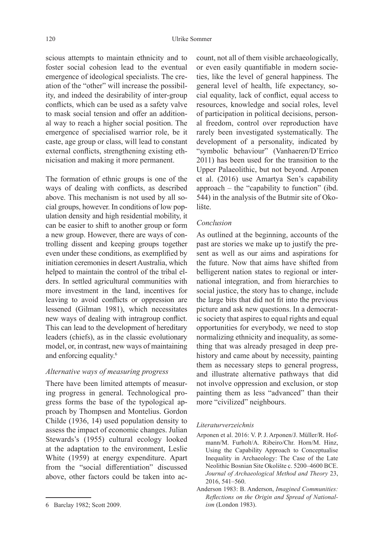scious attempts to maintain ethnicity and to foster social cohesion lead to the eventual emergence of ideological specialists. The creation of the "other" will increase the possibility, and indeed the desirability of inter-group conflicts, which can be used as a safety valve to mask social tension and offer an additional way to reach a higher social position. The emergence of specialised warrior role, be it caste, age group or class, will lead to constant external conflicts, strengthening existing ethnicisation and making it more permanent.

The formation of ethnic groups is one of the ways of dealing with conflicts, as described above. This mechanism is not used by all social groups, however. In conditions of low population density and high residential mobility, it can be easier to shift to another group or form a new group. However, there are ways of controlling dissent and keeping groups together even under these conditions, as exemplified by initiation ceremonies in desert Australia, which helped to maintain the control of the tribal elders. In settled agricultural communities with more investment in the land, incentives for leaving to avoid conflicts or oppression are lessened (Gilman 1981), which necessitates new ways of dealing with intragroup conflict. This can lead to the development of hereditary leaders (chiefs), as in the classic evolutionary model, or, in contrast, new ways of maintaining and enforcing equality.6

#### *Alternative ways of measuring progress*

There have been limited attempts of measuring progress in general. Technological progress forms the base of the typological approach by Thompsen and Montelius. Gordon Childe (1936, 14) used population density to assess the impact of economic changes. Julian Stewards's (1955) cultural ecology looked at the adaptation to the environment, Leslie White (1959) at energy expenditure. Apart from the "social differentiation" discussed above, other factors could be taken into ac-

count, not all of them visible archaeologically, or even easily quantifiable in modern societies, like the level of general happiness. The general level of health, life expectancy, social equality, lack of conflict, equal access to resources, knowledge and social roles, level of participation in political decisions, personal freedom, control over reproduction have rarely been investigated systematically. The development of a personality, indicated by "symbolic behaviour" (Vanhaeren/D'Errico 2011) has been used for the transition to the Upper Palaeolithic, but not beyond. Arponen et al. (2016) use Amartya Sen's capability approach – the "capability to function" (ibd. 544) in the analysis of the Butmir site of Okolište.

#### *Conclusion*

As outlined at the beginning, accounts of the past are stories we make up to justify the present as well as our aims and aspirations for the future. Now that aims have shifted from belligerent nation states to regional or international integration, and from hierarchies to social justice, the story has to change, include the large bits that did not fit into the previous picture and ask new questions. In a democratic society that aspires to equal rights and equal opportunities for everybody, we need to stop normalizing ethnicity and inequality, as something that was already presaged in deep prehistory and came about by necessity, painting them as necessary steps to general progress, and illustrate alternative pathways that did not involve oppression and exclusion, or stop painting them as less "advanced" than their more "civilized" neighbours.

#### *Literaturverzeichnis*

- Arponen et al. 2016: V. P. J. Arponen/J. Müller/R. Hofmann/M. Furholt/A. Ribeiro/Chr. Horn/M. Hinz, Using the Capability Approach to Conceptualise Inequality in Archaeology: The Case of the Late Neolithic Bosnian Site Okolište c. 5200–4600 BCE. *Journal of Archaeological Method and Theory* 23, 2016, 541–560.
- Anderson 1983: B. Anderson, *Imagined Communities: Refl ections on the Origin and Spread of Nationalism* (London 1983).

<sup>6</sup> Barclay 1982; Scott 2009.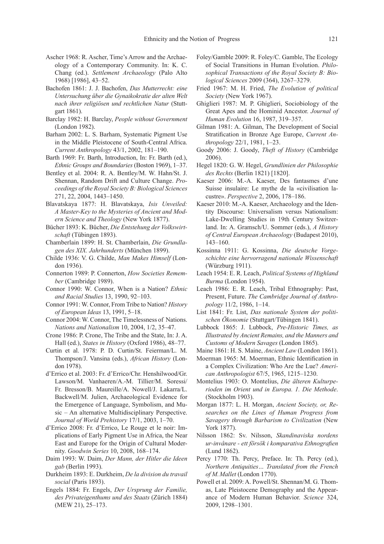- Ascher 1968: R. Ascher, Time's Arrow and the Archaeology of a Contemporary Community. In: K. C. Chang (ed.). *Settlement Archaeology* (Palo Alto 1968) [1986], 43–52.
- Bachofen 1861: J. J. Bachofen, *Das Mutterrecht: eine Untersuchung über die Gynaikokratie der alten Welt nach ihrer religiösen und rechtlichen Natur* (Stuttgart 1861).
- Barclay 1982: H. Barclay, *People without Government* (London 1982).
- Barham 2002: L. S. Barham, Systematic Pigment Use in the Middle Pleistocene of South‐Central Africa. *Current Anthropology* 43/1, 2002, 181–190.
- Barth 1969: Fr. Barth, Introduction, In: Fr. Barth (ed.), *Ethnic Groups and Boundaries* (Boston 1969), 1–37.
- Bentley et al. 2004: R. A. Bentley/M. W. Hahn/St. J. Shennan, Random Drift and Culture Change. *Proceedings of the Royal Society B: Biological Sciences* 271, 22, 2004, 1443–1450.
- Blavatskaya 1877: H. Blavatskaya, *Isis Unveiled: A Master-Key to the Mysteries of Ancient and Modern Science and Theology* (New York 1877).
- Bücher 1893: K. Bücher, *Die Entstehung der Volkswirtschaft* (Tübingen 1893).
- Chamberlain 1899: H. St. Chamberlain, *Die Grundlagen des XIX. Jahrhunderts* (München 1899).
- Childe 1936: V. G. Childe, *Man Makes Himself* (London 1936).
- Connerton 1989: P. Connerton, *How Societies Remember* (Cambridge 1989).
- Connor 1990: W. Connor, When is a Nation? *Ethnic and Racial Studies* 13, 1990, 92–103.
- Connor 1991: W. Connor, From Tribe to Nation? *History of European Ideas* 13, 1991, 5–18.
- Connor 2004: W. Connor, The Timelessness of Nations. *Nations and Nationalism* 10, 2004, 1/2, 35–47.
- Crone 1986: P. Crone, The Tribe and the State, In: J. A. Hall (ed.), *States in History* (Oxford 1986), 48–77.
- Curtin et al. 1978: P. D. Curtin/St. Feierman/L. M. Thompson/J. Vansina (eds.), *African History* (London 1978).
- d'Errico et al. 2003: Fr. d'Errico/Chr. Henshilwood/Gr. Lawson/M. Vanhaeren/A.-M. Tillier/M. Soressi/ Fr. Bresson/B. Maureille/A. Nowell/J. Lakarra/L. Backwell/M. Julien, Archaeological Evidence for the Emergence of Language, Symbolism, and Music – An alternative Multidisciplinary Perspective. *Journal of World Prehistory* 17/1, 2003, 1–70.
- d'Errico 2008: Fr. d'Errico, Le Rouge et le noir: Implications of Early Pigment Use in Africa, the Near East and Europe for the Origin of Cultural Modernity. *Goodwin Series* 10, 2008, 168–174.
- Daim 1993: W. Daim, *Der Mann, der Hitler die Ideen gab* (Berlin 1993).
- Durkheim 1893: E. Durkheim, *De la division du travail social* (Paris 1893).
- Engels 1884: Fr. Engels, *Der Ursprung der Familie, des Privateigenthums und des Staats* (Zürich 1884) (MEW 21), 25–173.
- Foley/Gamble 2009: R. Foley/C. Gamble, The Ecology of Social Transitions in Human Evolution. *Philosophical Transactions of the Royal Society B: Biological Sciences* 2009 (364), 3267–3279.
- Fried 1967: M. H. Fried, *The Evolution of political Society* (New York 1967).
- Ghiglieri 1987: M. P. Ghiglieri, Sociobiology of the Great Apes and the Hominid Ancestor. *Journal of Human Evolution* 16, 1987, 319–357.
- Gilman 1981: A. Gilman, The Development of Social Stratification in Bronze Age Europe, *Current Anthropology* 22/1, 1981, 1–23.
- Goody 2006: J. Goody, *Theft of History* (Cambridge 2006).
- Hegel 1820: G. W. Hegel, *Grundlinien der Philosophie des Rechts* (Berlin 1821) [1820].
- Kaeser 2006: M.-A. Kaeser, Des fantasmes d'une Suisse insulaire: Le mythe de la «civilisation lacustre». *Perspective* 2, 2006, 178–186.
- Kaeser 2010: M.-A. Kaeser, Archaeology and the Identity Discourse: Universalism versus Nationalism: Lake-Dwelling Studies in 19th Century Switzerland. In: A. Gramsch/U. Sommer (eds.), *A History of Central European Archaeology* (Budapest 2010), 143–160.
- Kossinna 1911: G. Kossinna, *Die deutsche Vorgeschichte eine hervorragend nationale Wissenschaft* (Würzburg 1911).
- Leach 1954: E. R. Leach, *Political Systems of Highland Burma* (London 1954).
- Leach 1986: E. R. Leach, Tribal Ethnography: Past, Present, Future. *The Cambridge Journal of Anthropology* 11/2, 1986, 1–14.
- List 1841: Fr. List, *Das nationale System der politischen Ökonomie* (Stuttgart/Tübingen 1841).
- Lubbock 1865: J. Lubbock, *Pre-Historic Times, as Illustrated by Ancient Remains, and the Manners and Customs of Modern Savages* (London 1865).
- Maine 1861: H. S. Maine, *Ancient Law* (London 1861).
- Moerman 1965: M. Moerman, Ethnic Identification in a Complex Civilization: Who Are the Lue? *American Anthropologist* 67/5, 1965, 1215–1230.
- Montelius 1903: O. Montelius, *Die älteren Kulturperioden im Orient und in Europa. 1. Die Methode*. (Stockholm 1903).
- Morgan 1877: L. H. Morgan, *Ancient Society, or, Researches on the Lines of Human Progress from Savagery through Barbarism to Civilization* (New York 1877).
- Nilsson 1862: Sv. Nilsson, *Skandinaviska nordens ur-invånare - ett försök i komparativa Ethnografi en* (Lund 1862).
- Percy 1770: Th. Percy, Preface. In: Th. Percy (ed.), *Northern Antiquities… Translated from the French of M. Mallet* (London 1770).
- Powell et al. 2009: A. Powell/St. Shennan/M. G. Thomas, Late Pleistocene Demography and the Appearance of Modern Human Behavior. *Science* 324, 2009, 1298–1301.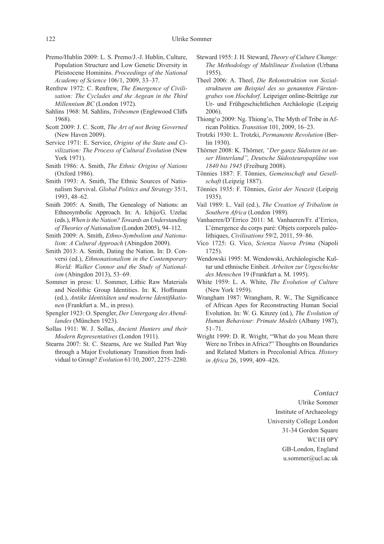- Premo/Hublin 2009: L. S. Premo/J.-J. Hublin, Culture, Population Structure and Low Genetic Diversity in Pleistocene Hominins. *Proceedings of the National Academy of Science* 106/1, 2009, 33–37.
- Renfrew 1972: C. Renfrew, *The Emergence of Civilisation: The Cyclades and the Aegean in the Third Millennium BC* (London 1972).
- Sahlins 1968: M. Sahlins, *Tribesmen* (Englewood Cliffs 1968).
- Scott 2009: J. C. Scott, *The Art of not Being Governed* (New Haven 2009).
- Service 1971: E. Service, *Origins of the State and Civilization: The Process of Cultural Evolution* (New York 1971).
- Smith 1986: A. Smith, *The Ethnic Origins of Nations* (Oxford 1986).
- Smith 1993: A. Smith, The Ethnic Sources of Nationalism Survival. *Global Politics and Strategy* 35/1, 1993, 48–62.
- Smith 2005: A. Smith, The Genealogy of Nations: an Ethnosymbolic Approach. In: A. Ichijo/G. Uzelac (eds.), *When is the Nation? Towards an Understanding of Theories of Nationalism* (London 2005), 94–112.
- Smith 2009: A. Smith, *Ethno-Symbolism and Nationalism: A Cultural Approach* (Abingdon 2009).
- Smith 2013: A. Smith, Dating the Nation. In: D. Conversi (ed.), *Ethnonationalism in the Contemporary World: Walker Connor and the Study of Nationalism* (Abingdon 2013), 53–69.
- Sommer in press: U. Sommer, Lithic Raw Materials and Neolithic Group Identities. In: K. Hoffmann (ed.), Antike Identitäten und moderne Identifikatio*nen* (Frankfurt a. M., in press).
- Spengler 1923: O. Spengler, *Der Untergang des Abendlandes* (München 1923).
- Sollas 1911: W. J. Sollas, *Ancient Hunters and their Modern Representatives* (London 1911).
- Stearns 2007: St. C. Stearns, Are we Stalled Part Way through a Major Evolutionary Transition from Individual to Group? *Evolution* 61/10, 2007, 2275–2280.
- Steward 1955: J. H. Steward, *Theory of Culture Change: The Methodology of Multilinear Evolution* (Urbana 1955).
- Theel 2006: A. Theel, *Die Rekonstruktion von Sozialstrukturen am Beispiel des so genannten Fürstengrabes von Hochdorf*. Leipziger online-Beiträge zur Ur- und Frühgeschichtlichen Archäologie (Leipzig 2006).
- Thiong'o 2009: Ng. Thiong'o, The Myth of Tribe in African Politics. *Transition* 101, 2009, 16–23.
- Trotzki 1930: L. Trotzki, *Permanente Revolution* (Berlin 1930).
- Thörner 2008: K. Thörner, *"Der ganze Südosten ist unser Hinterland", Deutsche Südosteuropapläne von 1840 bis 1945* (Freiburg 2008).
- Tönnies 1887: F. Tönnies, *Gemeinschaft und Gesellschaft* (Leipzig 1887).
- Tönnies 1935: F. Tönnies, *Geist der Neuzeit* (Leipzig 1935).
- Vail 1989: L. Vail (ed.), *The Creation of Tribalism in Southern Africa* (London 1989).
- Vanhaeren/D'Errico 2011: M. Vanhaeren/Fr. d'Errico, L'émergence du corps paré: Objets corporels paléolithiques, *Civilisations* 59/2, 2011, 59–86.
- Vico 1725: G. Vico, *Scienza Nuova Prima* (Napoli 1725).
- Wendowski 1995: M. Wendowski, Archäologische Kultur und ethnische Einheit. Arbeiten zur Urgeschichte *des Menschen* 19 (Frankfurt a. M. 1995).
- White 1959: L. A. White, *The Evolution of Culture* (New York 1959).
- Wrangham 1987: Wrangham, R. W., The Significance of African Apes for Reconstructing Human Social Evolution. In: W. G. Kinzey (ed.), *The Evolution of Human Behaviour: Primate Models* (Albany 1987), 51–71.
- Wright 1999: D. R. Wright, "What do you Mean there Were no Tribes in Africa?" Thoughts on Boundaries and Related Matters in Precolonial Africa. *History in Africa* 26, 1999, 409–426.

#### *Contact*

Ulrike Sommer Institute of Archaeology University College London 31-34 Gordon Square WC1H 0PY GB-London, England u.sommer@ucl.ac.uk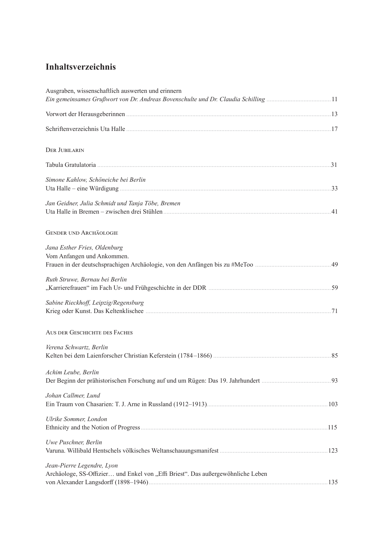## **Inhaltsverzeichnis**

| Ausgraben, wissenschaftlich auswerten und erinnern<br>Ein gemeinsames Grußwort von Dr. Andreas Bovenschulte und Dr. Claudia Schilling 11 |  |
|------------------------------------------------------------------------------------------------------------------------------------------|--|
|                                                                                                                                          |  |
|                                                                                                                                          |  |
| <b>DER JUBILARIN</b>                                                                                                                     |  |
|                                                                                                                                          |  |
| Simone Kahlow, Schöneiche bei Berlin                                                                                                     |  |
| Jan Geidner, Julia Schmidt und Tanja Töbe, Bremen                                                                                        |  |
| <b>GENDER UND ARCHÄOLOGIE</b>                                                                                                            |  |
| Jana Esther Fries, Oldenburg<br>Vom Anfangen und Ankommen.                                                                               |  |
| Ruth Struwe, Bernau bei Berlin                                                                                                           |  |
| Sabine Rieckhoff, Leipzig/Regensburg                                                                                                     |  |
| AUS DER GESCHICHTE DES FACHES                                                                                                            |  |
| Verena Schwartz, Berlin                                                                                                                  |  |
| Achim Leube, Berlin                                                                                                                      |  |
| Johan Callmer, Lund                                                                                                                      |  |
| Ulrike Sommer, London                                                                                                                    |  |
| Uwe Puschner, Berlin                                                                                                                     |  |
| Jean-Pierre Legendre, Lyon<br>Archäologe, SS-Offizier und Enkel von "Effi Briest". Das außergewöhnliche Leben                            |  |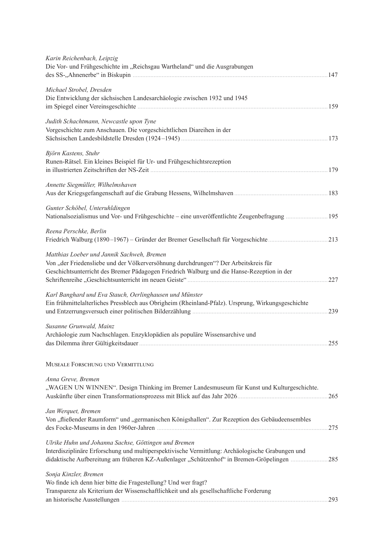| Karin Reichenbach, Leipzig<br>Die Vor- und Frühgeschichte im "Reichsgau Wartheland" und die Ausgrabungen                                                                                                                                           |     |
|----------------------------------------------------------------------------------------------------------------------------------------------------------------------------------------------------------------------------------------------------|-----|
| Michael Strobel, Dresden<br>Die Entwicklung der sächsischen Landesarchäologie zwischen 1932 und 1945                                                                                                                                               |     |
| Judith Schachtmann, Newcastle upon Tyne<br>Vorgeschichte zum Anschauen. Die vorgeschichtlichen Diareihen in der                                                                                                                                    |     |
| Björn Kastens, Stuhr<br>Runen-Rätsel. Ein kleines Beispiel für Ur- und Frühgeschichtsrezeption                                                                                                                                                     |     |
| Annette Siegmüller, Wilhelmshaven                                                                                                                                                                                                                  |     |
| Gunter Schöbel, Unteruhldingen                                                                                                                                                                                                                     |     |
| Reena Perschke, Berlin                                                                                                                                                                                                                             |     |
| Matthias Loeber und Jannik Sachweh, Bremen<br>Von "der Friedensliebe und der Völkerversöhnung durchdrungen"? Der Arbeitskreis für<br>Geschichtsunterricht des Bremer Pädagogen Friedrich Walburg und die Hanse-Rezeption in der                    | 227 |
| Karl Banghard und Eva Stauch, Oerlinghausen und Münster<br>Ein frühmittelalterliches Pressblech aus Obrigheim (Rheinland-Pfalz). Ursprung, Wirkungsgeschichte                                                                                      |     |
| Susanne Grunwald, Mainz<br>Archäologie zum Nachschlagen. Enzyklopädien als populäre Wissensarchive und                                                                                                                                             | 255 |
| MUSEALE FORSCHUNG UND VERMITTLUNG                                                                                                                                                                                                                  |     |
| Anna Greve, Bremen<br>"WAGEN UN WINNEN". Design Thinking im Bremer Landesmuseum für Kunst und Kulturgeschichte.                                                                                                                                    | 265 |
| Jan Werquet, Bremen<br>Von "fließender Raumform" und "germanischen Königshallen". Zur Rezeption des Gebäudeensembles                                                                                                                               | 275 |
| Ulrike Huhn und Johanna Sachse, Göttingen und Bremen<br>Interdisziplinäre Erforschung und multiperspektivische Vermittlung: Archäologische Grabungen und<br>didaktische Aufbereitung am früheren KZ-Außenlager "Schützenhof" in Bremen-Gröpelingen | 285 |
| Sonja Kinzler, Bremen<br>Wo finde ich denn hier bitte die Fragestellung? Und wer fragt?<br>Transparenz als Kriterium der Wissenschaftlichkeit und als gesellschaftliche Forderung                                                                  | 293 |
|                                                                                                                                                                                                                                                    |     |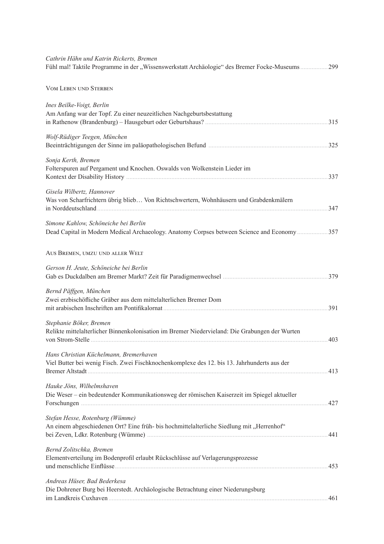| Cathrin Hähn und Katrin Rickerts, Bremen<br>Fühl mal! Taktile Programme in der "Wissenswerkstatt Archäologie" des Bremer Focke-Museums | 299 |
|----------------------------------------------------------------------------------------------------------------------------------------|-----|
| <b>VOM LEBEN UND STERBEN</b>                                                                                                           |     |
| Ines Beilke-Voigt, Berlin<br>Am Anfang war der Topf. Zu einer neuzeitlichen Nachgeburtsbestattung                                      |     |
| Wolf-Rüdiger Teegen, München                                                                                                           |     |
| Sonja Kerth, Bremen<br>Folterspuren auf Pergament und Knochen. Oswalds von Wolkenstein Lieder im                                       |     |
| Gisela Wilbertz, Hannover<br>Was von Scharfrichtern übrig blieb Von Richtschwertern, Wohnhäusern und Grabdenkmälern                    |     |
| Simone Kahlow, Schöneiche bei Berlin<br>Dead Capital in Modern Medical Archaeology. Anatomy Corpses between Science and Economy  357   |     |
| AUS BREMEN, UMZU UND ALLER WELT                                                                                                        |     |
| Gerson H. Jeute, Schöneiche bei Berlin                                                                                                 |     |
| Bernd Päffgen, München<br>Zwei erzbischöfliche Gräber aus dem mittelalterlichen Bremer Dom                                             |     |
| Stephanie Böker, Bremen<br>Relikte mittelalterlicher Binnenkolonisation im Bremer Niedervieland: Die Grabungen der Wurten              |     |
| Hans Christian Küchelmann, Bremerhaven<br>Viel Butter bei wenig Fisch. Zwei Fischknochenkomplexe des 12. bis 13. Jahrhunderts aus der  |     |
| Hauke Jöns, Wilhelmshaven<br>Die Weser – ein bedeutender Kommunikationsweg der römischen Kaiserzeit im Spiegel aktueller               |     |
| Stefan Hesse, Rotenburg (Wümme)<br>An einem abgeschiedenen Ort? Eine früh- bis hochmittelalterliche Siedlung mit "Herrenhof"           |     |
| Bernd Zolitschka, Bremen<br>Elementverteilung im Bodenprofil erlaubt Rückschlüsse auf Verlagerungsprozesse                             |     |
| Andreas Hüser, Bad Bederkesa<br>Die Dohrener Burg bei Heerstedt. Archäologische Betrachtung einer Niederungsburg                       |     |